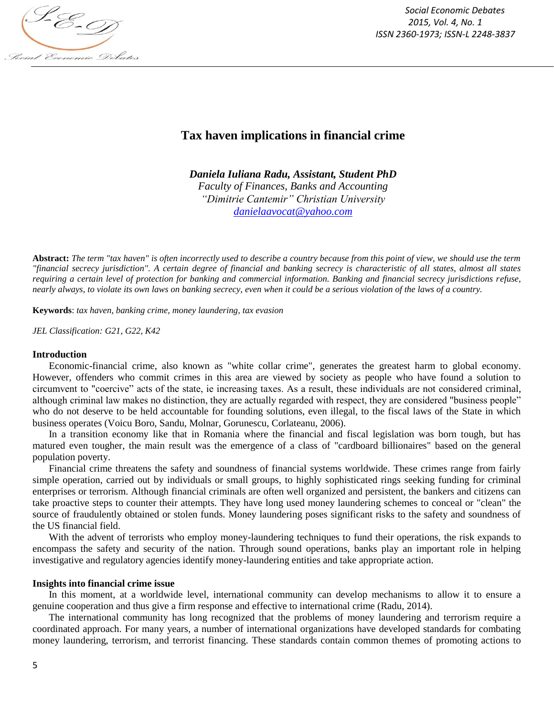

*Social Economic Debates 2015, Vol. 4, No. 1 ISSN 2360-1973; ISSN-L 2248-3837*

# **Tax haven implications in financial crime**

*Daniela Iuliana Radu, Assistant, Student PhD Faculty of Finances, Banks and Accounting "Dimitrie Cantemir" Christian University danielaavocat@yahoo.com*

**Abstract:** *The term "tax haven" is often incorrectly used to describe a country because from this point of view, we should use the term "financial secrecy jurisdiction". A certain degree of financial and banking secrecy is characteristic of all states, almost all states requiring a certain level of protection for banking and commercial information. Banking and financial secrecy jurisdictions refuse, nearly always, to violate its own laws on banking secrecy, even when it could be a serious violation of the laws of a country.*

**Keywords**: *tax haven, banking crime, money laundering, tax evasion*

*JEL Classification: G21, G22, K42*

#### **Introduction**

Economic-financial crime, also known as "white collar crime", generates the greatest harm to global economy. However, offenders who commit crimes in this area are viewed by society as people who have found a solution to circumvent to "coercive" acts of the state, ie increasing taxes. As a result, these individuals are not considered criminal, although criminal law makes no distinction, they are actually regarded with respect, they are considered "business people" who do not deserve to be held accountable for founding solutions, even illegal, to the fiscal laws of the State in which business operates (Voicu Boro, Sandu, Molnar, Gorunescu, Corlateanu, 2006).

In a transition economy like that in Romania where the financial and fiscal legislation was born tough, but has matured even tougher, the main result was the emergence of a class of "cardboard billionaires" based on the general population poverty.

Financial crime threatens the safety and soundness of financial systems worldwide. These crimes range from fairly simple operation, carried out by individuals or small groups, to highly sophisticated rings seeking funding for criminal enterprises or terrorism. Although financial criminals are often well organized and persistent, the bankers and citizens can take proactive steps to counter their attempts. They have long used money laundering schemes to conceal or "clean" the source of fraudulently obtained or stolen funds. Money laundering poses significant risks to the safety and soundness of the US financial field.

With the advent of terrorists who employ money-laundering techniques to fund their operations, the risk expands to encompass the safety and security of the nation. Through sound operations, banks play an important role in helping investigative and regulatory agencies identify money-laundering entities and take appropriate action.

### **Insights into financial crime issue**

In this moment, at a worldwide level, international community can develop mechanisms to allow it to ensure a genuine cooperation and thus give a firm response and effective to international crime (Radu, 2014).

The international community has long recognized that the problems of money laundering and terrorism require a coordinated approach. For many years, a number of international organizations have developed standards for combating money laundering, terrorism, and terrorist financing. These standards contain common themes of promoting actions to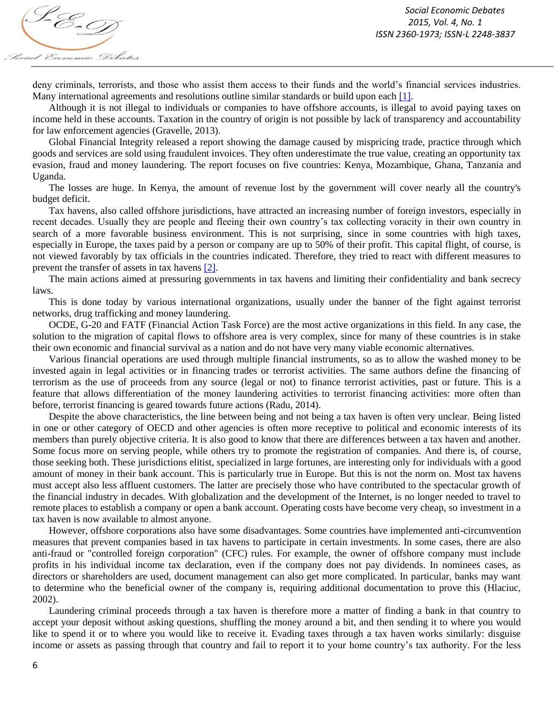deny criminals, terrorists, and those who assist them access to their funds and the world's financial services industries. Many international agreements and resolutions outline similar standards or build upon each [1].

Although it is not illegal to individuals or companies to have offshore accounts, is illegal to avoid paying taxes on income held in these accounts. Taxation in the country of origin is not possible by lack of transparency and accountability for law enforcement agencies (Gravelle, 2013).

Global Financial Integrity released a report showing the damage caused by mispricing trade, practice through which goods and services are sold using fraudulent invoices. They often underestimate the true value, creating an opportunity tax evasion, fraud and money laundering. The report focuses on five countries: Kenya, Mozambique, Ghana, Tanzania and Uganda.

The losses are huge. In Kenya, the amount of revenue lost by the government will cover nearly all the country's budget deficit.

Tax havens, also called offshore jurisdictions, have attracted an increasing number of foreign investors, especially in recent decades. Usually they are people and fleeing their own country's tax collecting voracity in their own country in search of a more favorable business environment. This is not surprising, since in some countries with high taxes, especially in Europe, the taxes paid by a person or company are up to 50% of their profit. This capital flight, of course, is not viewed favorably by tax officials in the countries indicated. Therefore, they tried to react with different measures to prevent the transfer of assets in tax havens [2].

The main actions aimed at pressuring governments in tax havens and limiting their confidentiality and bank secrecy laws.

This is done today by various international organizations, usually under the banner of the fight against terrorist networks, drug trafficking and money laundering.

OCDE, G-20 and FATF (Financial Action Task Force) are the most active organizations in this field. In any case, the solution to the migration of capital flows to offshore area is very complex, since for many of these countries is in stake their own economic and financial survival as a nation and do not have very many viable economic alternatives.

Various financial operations are used through multiple financial instruments, so as to allow the washed money to be invested again in legal activities or in financing trades or terrorist activities. The same authors define the financing of terrorism as the use of proceeds from any source (legal or not) to finance terrorist activities, past or future. This is a feature that allows differentiation of the money laundering activities to terrorist financing activities: more often than before, terrorist financing is geared towards future actions (Radu, 2014).

Despite the above characteristics, the line between being and not being a tax haven is often very unclear. Being listed in one or other category of OECD and other agencies is often more receptive to political and economic interests of its members than purely objective criteria. It is also good to know that there are differences between a tax haven and another. Some focus more on serving people, while others try to promote the registration of companies. And there is, of course, those seeking both. These jurisdictions elitist, specialized in large fortunes, are interesting only for individuals with a good amount of money in their bank account. This is particularly true in Europe. But this is not the norm on. Most tax havens must accept also less affluent customers. The latter are precisely those who have contributed to the spectacular growth of the financial industry in decades. With globalization and the development of the Internet, is no longer needed to travel to remote places to establish a company or open a bank account. Operating costs have become very cheap, so investment in a tax haven is now available to almost anyone.

However, offshore corporations also have some disadvantages. Some countries have implemented anti-circumvention measures that prevent companies based in tax havens to participate in certain investments. In some cases, there are also anti-fraud or "controlled foreign corporation" (CFC) rules. For example, the owner of offshore company must include profits in his individual income tax declaration, even if the company does not pay dividends. In nominees cases, as directors or shareholders are used, document management can also get more complicated. In particular, banks may want to determine who the beneficial owner of the company is, requiring additional documentation to prove this (Hlaciuc, 2002).

Laundering criminal proceeds through a tax haven is therefore more a matter of finding a bank in that country to accept your deposit without asking questions, shuffling the money around a bit, and then sending it to where you would like to spend it or to where you would like to receive it. Evading taxes through a tax haven works similarly: disguise income or assets as passing through that country and fail to report it to your home country's tax authority. For the less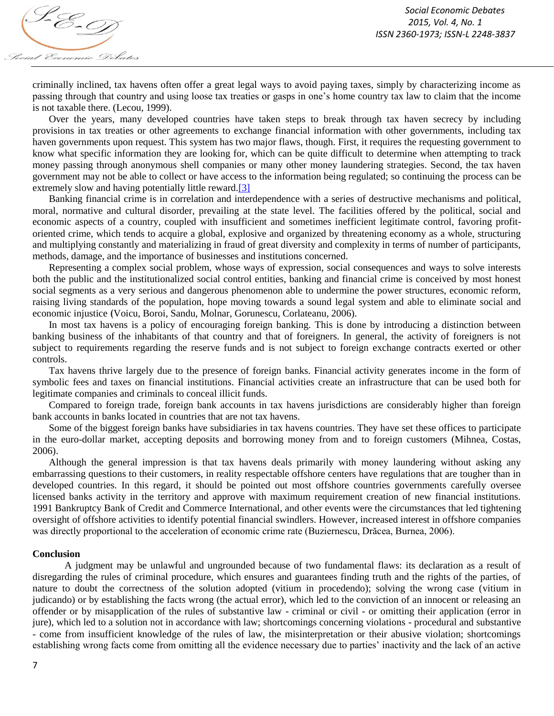

criminally inclined, tax havens often offer a great legal ways to avoid paying taxes, simply by characterizing income as passing through that country and using loose tax treaties or gasps in one's home country tax law to claim that the income is not taxable there. (Lecou, 1999).

Over the years, many developed countries have taken steps to break through tax haven secrecy by including provisions in tax treaties or other agreements to exchange financial information with other governments, including tax haven governments upon request. This system has two major flaws, though. First, it requires the requesting government to know what specific information they are looking for, which can be quite difficult to determine when attempting to track money passing through anonymous shell companies or many other money laundering strategies. Second, the tax haven government may not be able to collect or have access to the information being regulated; so continuing the process can be extremely slow and having potentially little reward.<sup>[3]</sup>

Banking financial crime is in correlation and interdependence with a series of destructive mechanisms and political, moral, normative and cultural disorder, prevailing at the state level. The facilities offered by the political, social and economic aspects of a country, coupled with insufficient and sometimes inefficient legitimate control, favoring profitoriented crime, which tends to acquire a global, explosive and organized by threatening economy as a whole, structuring and multiplying constantly and materializing in fraud of great diversity and complexity in terms of number of participants, methods, damage, and the importance of businesses and institutions concerned.

Representing a complex social problem, whose ways of expression, social consequences and ways to solve interests both the public and the institutionalized social control entities, banking and financial crime is conceived by most honest social segments as a very serious and dangerous phenomenon able to undermine the power structures, economic reform, raising living standards of the population, hope moving towards a sound legal system and able to eliminate social and economic injustice (Voicu, Boroi, Sandu, Molnar, Gorunescu, Corlateanu, 2006).

In most tax havens is a policy of encouraging foreign banking. This is done by introducing a distinction between banking business of the inhabitants of that country and that of foreigners. In general, the activity of foreigners is not subject to requirements regarding the reserve funds and is not subject to foreign exchange contracts exerted or other controls.

Tax havens thrive largely due to the presence of foreign banks. Financial activity generates income in the form of symbolic fees and taxes on financial institutions. Financial activities create an infrastructure that can be used both for legitimate companies and criminals to conceal illicit funds.

Compared to foreign trade, foreign bank accounts in tax havens jurisdictions are considerably higher than foreign bank accounts in banks located in countries that are not tax havens.

Some of the biggest foreign banks have subsidiaries in tax havens countries. They have set these offices to participate in the euro-dollar market, accepting deposits and borrowing money from and to foreign customers (Mihnea, Costas, 2006).

Although the general impression is that tax havens deals primarily with money laundering without asking any embarrassing questions to their customers, in reality respectable offshore centers have regulations that are tougher than in developed countries. In this regard, it should be pointed out most offshore countries governments carefully oversee licensed banks activity in the territory and approve with maximum requirement creation of new financial institutions. 1991 Bankruptcy Bank of Credit and Commerce International, and other events were the circumstances that led tightening oversight of offshore activities to identify potential financial swindlers. However, increased interest in offshore companies was directly proportional to the acceleration of economic crime rate (Buziernescu, Drăcea, Burnea, 2006).

#### **Conclusion**

A judgment may be unlawful and ungrounded because of two fundamental flaws: its declaration as a result of disregarding the rules of criminal procedure, which ensures and guarantees finding truth and the rights of the parties, of nature to doubt the correctness of the solution adopted (vitium in procedendo); solving the wrong case (vitium in judicando) or by establishing the facts wrong (the actual error), which led to the conviction of an innocent or releasing an offender or by misapplication of the rules of substantive law - criminal or civil - or omitting their application (error in jure), which led to a solution not in accordance with law; shortcomings concerning violations - procedural and substantive - come from insufficient knowledge of the rules of law, the misinterpretation or their abusive violation; shortcomings establishing wrong facts come from omitting all the evidence necessary due to parties' inactivity and the lack of an active